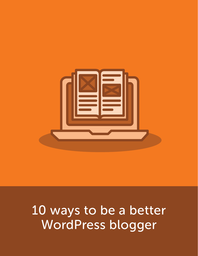

# 10 ways to be a better WordPress blogger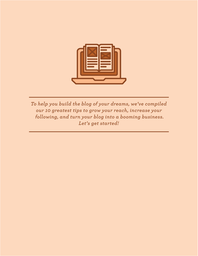

*To help you build the blog of your dreams, we've compiled our 10 greatest tips to grow your reach, increase your following, and turn your blog into a booming business. Let's get started!*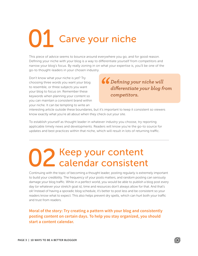## Carve your niche 01

This piece of advice seems to bounce around everywhere you go, and for good reason. Defining your niche with your blog is a way to differentiate yourself from competitors and narrow your blog's focus. By really zoning in on what your expertise is, you'll be one of the go-to thought-leaders in your chosen industry.

Don't know what your niche is yet? Try choosing three words you want your blog to resemble, or three subjects you want your blog to focus on. Remember these keywords when planning your content so you can maintain a consistent brand within your niche. It can be tempting to write an

*Defining your niche will differentiate your blog from competitors.* 

interesting article outside these boundaries, but it's important to keep it consistent so viewers know exactly what you're all about when they check out your site.

To establish yourself as thought leader in whatever industry you choose, try reporting applicable timely news and developments. Readers will know you're the go-to source for updates and best practices within that niche, which will result in lots of returning traffic.

### Keep your content calendar consistent 02

Continuing with the topic of becoming a thought leader, posting regularly is extremely important to build your credibility. The frequency of your posts matters, and random posting can seriously damage your blog traffic. While in a perfect world, you would be able to publish a blog post every day (or whatever your stretch goal is), time and resources don't always allow for that. And that's ok! Instead of having a sporadic blog schedule, it's better to post less and be consistent so your readers know what to expect. This also helps prevent dry spells, which can hurt both your traffic and trust from readers.

**Moral of the story: Try creating a pattern with your blog and consistently posting content on certain days. To help you stay organized, you should start a content calendar.**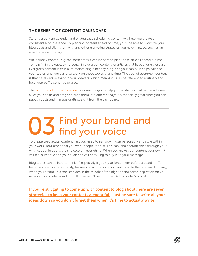### THE BENEFIT OF CONTENT CALENDARS

Starting a content calendar and strategically scheduling content will help you create a consistent blog presence. By planning content ahead of time, you'll be able to optimize your blog posts and align them with any other marketing strategies you have in place, such as an email or social strategy.

While timely content is great, sometimes it can be hard to plan those articles ahead of time. To help fill in the gaps, try to pencil in evergreen content, or articles that have a long lifespan. Evergreen content is crucial to maintaining a healthy blog, and your sanity! It helps balance your topics, and you can also work on those topics at any time. The goal of evergreen content is that it's always relevant to your viewers, which means it'll also be referenced routinely and help your traffic continue to grow.

The [WordPress Editorial Calendar](https://wordpress.org/plugins/editorial-calendar/) is a great plugin to help you tackle this. It allows you to see all of your posts and drag and drop them into different days. It's especially great since you can publish posts and manage drafts straight from the dashboard.

### Find your brand and find your voice 03

To create spectacular content, first you need to nail down your personality and style within your work. Your brand that you want people to trust. This can (and should) shine through your writing, your imagery, the site colors – everything! When you make your content your own, it will feel authentic and your audience will be willing to buy in to your message.

Blog topics can be hard to think of, especially if you try to force them before a deadline. To help the ideas flow effortlessly, try keeping a notebook on hand to write them down. This way, when you dream up a rockstar idea in the middle of the night or find some inspiration on your morning commute, your lightbulb idea won't be forgotten. Adios, writer's block!

**If you're struggling to come up with content to blog about, [here are seven](https://getflywheel.com/layout/generate-blog-topics-to-grow-your-brand/)  [strategies to keep your content calendar full.](https://getflywheel.com/layout/generate-blog-topics-to-grow-your-brand/) Just be sure to write all your ideas down so you don't forget them when it's time to actually write!**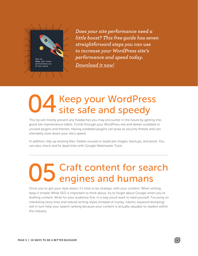

*Does your site performance need a little boost? This free guide has seven straightforward steps you can use to increase your WordPress site's performance and speed today. [Download it now!](http://highfive.getflywheel.com/how-to-improve-wordpress-speed-and-performance)*

## Keep your WordPress 04 Keep your WordPres<br>site safe and speedy

This tip will mostly prevent any headaches you may encounter in the future by getting into good site maintenance habits. Comb through your WordPress site and delete outdated or unused plugins and themes. Having outdated plugins can pose as security threats and can ultimately slow down your site's speed.

In addition, tidy up existing files. Delete unused or duplicate images, backups, and posts. You can also check and fix dead links with Google Webmaster Tools.

## Craft content for search 05 Craft content for sea

Once you've got your style down, it's time to be strategic with your content. When writing, keep it simple! While SEO is important to think about, try to forget about Google when you're drafting content. Write for your audience first, in a way you'd want to read yourself. Focusing on interesting story lines and natural writing styles (instead of clunky, robotic keyword dumping) will in turn help your search ranking because your content is actually valuable to readers within the industry.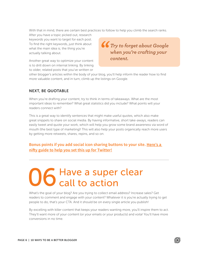With that in mind, there are certain best practices to follow to help you climb the search ranks.

After you have a topic picked out, research keywords you want to target for each post. To find the right keywords, just think about what the main idea is; the thing you're actually talking about.

Another great way to optimize your content is to drill down on internal linking. By linking to older, related posts that you've written or

*Try to forget about Google when you're crafting your content.*

other blogger's articles within the body of your blog, you'll help inform the reader how to find more valuable content, and in turn, climb up the listings on Google.

### NEXT, BE QUOTABLE

When you're drafting your content, try to think in terms of takeaways. What are the most important ideas to remember? What great statistics did you include? What points will your readers connect with?

This is a great way to identify sentences that might make useful quotes, which also make great snippets to share on social media. By having informative, short take-aways, readers can easily tweet and quote your work, which will help you grow some brand awareness via word of mouth (the best type of marketing)! This will also help your posts organically reach more users by getting more retweets, shares, repins, and so on.

### **Bonus points if you add social icon sharing buttons to your site. [Here's a](https://getflywheel.com/layout/how-to-add-click-to-tweet-buttons-to-your-wordpress-site/)  [nifty guide to help you set this up for Twitter!](https://getflywheel.com/layout/how-to-add-click-to-tweet-buttons-to-your-wordpress-site/)**

### Have a super clear call to action 06

What's the goal of your blog? Are you trying to collect email address? Increase sales? Get readers to comment and engage with your content? Whatever it is you're actually trying to get people to do, that's your CTA. And it should be on every single article you publish!

By excelling with killer content that keeps your readers wanting more, you'll inspire them to act. They'll want more of your content (or your emails or your products) and voila! You'll have more conversions in no time.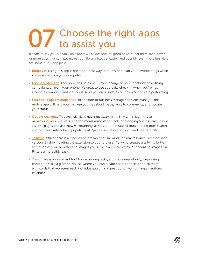### Choose the right apps to assist you 07

It's safe to say you probably love apps; we all do! And the good news is that there are a dozen or more apps that can also make your life as a blogger easier, and possibly even more fun. Here are some of our top picks!

- [Bloglovin'.](https://www.bloglovin.com/) Using this app is the smoothest way to follow and read your favorite blogs when you're away from your computer.
- [Facebook Ads App.](https://www.facebook.com/business/news/ads-manager-app) Facebook Ads helps you stay in charge of your Facebook advertising campaigns, all from your phone. It's great to use as a daily check-in when you're not around a computer, and it also will send you daily updates on how your ads are performing.
- [Facebook Pages Manager App.](https://www.facebook.com/business/learn/facebook-page-manager-app) In addition to Business Manager and Ads Manager, this mobile app will help you manage your Facebook page, reply to comments, and update your status.
- [Google Analytics](https://www.google.com/analytics/). This one will likely never go away, especially when it comes to monitoring your site stats. The top measurements to track for blogging success are: unique visitors, pages per visit, new vs. returning visitors, bounce rate, visitors coming from search engines, new subscribers, popular posts/pages, social interactions, and referral traffic.
- [Tailwind](https://www.tailwindapp.com/blogger-small-business). While there is a mobile app available for Tailwind, the real resource is the desktop version. By downloading the extension to your browser, Tailwind creates a tailwind button at the top of your browser and images you scroll over, which makes scheduling images on Pinterest incredibly easy.
- [Trello](https://trello.com/). This is an excellent tool for organizing tasks, and more importantly, organizing content! It's like a giant to-do list, where you can create boards and lists and fill them with cards that represent each individual post. It's a great option for running an editorial calendar.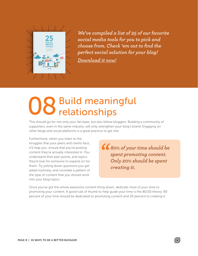

*We've compiled a list of 25 of our favorite social media tools for you to pick and choose from. Check 'em out to find the perfect social solution for your blog! [Download it now!](http://highfive.getflywheel.com/social-media-tools-for-agencies)*

## Build meaningful 08 Build meanir

This should go for not only your fan base, but also fellow bloggers. Building a community of supporters, even in the same industry, will only strengthen your blog's brand. Engaging on other blogs and social platforms is a great practice to get into.

Furthermore, when you listen to the struggles that your peers and clients face, it'll help you ensure that you're posting content they're actually interested in. You understand their pain points, and topics they'd love for someone to expand on for them. Try jotting down questions you get asked routinely, and correlate a pattern of the type of content that you should work into your blog topics.

*80% of your time should be spent promoting content. Only 20% should be spent creating it.*

Once you've got the whole awesome content thing down, dedicate most of your time to promoting your content. A good rule of thumb to help guide your time is the 80/20 theory. 80 percent of your time should be dedicated to promoting content and 20 percent to creating it.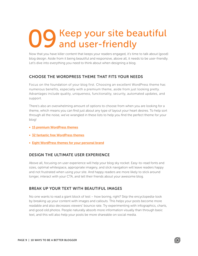### Keep your site beautiful and user-friendly 09

Now that you have killer content that keeps your readers engaged, it's time to talk about (good) blog design. Aside from it being beautiful and responsive, above all, it needs to be user-friendly. Let's dive into everything you need to think about when designing a blog.

#### CHOOSE THE WORDPRESS THEME THAT FITS YOUR NEEDS

Focus on the foundation of your blog first. Choosing an excellent WordPress theme has numerous benefits, especially with a premium theme, aside from just looking pretty. Advantages include quality, uniqueness, functionality, security, automated updates, and support.

There's also an overwhelming amount of options to choose from when you are looking for a theme, which means you can find just about any type of layout your heart desires. To help sort through all the noise, we've wrangled in these lists to help you find the perfect theme for your blog!

- [15 premium WordPress themes](https://getflywheel.com/layout/premium-wordpress-themes-to-check-out-in-2016/)
- [32 fantastic free WordPress themes](https://getflywheel.com/layout/free-wordpress-themes-2016/)
- [Eight WordPress themes for your personal brand](https://getflywheel.com/layout/eight-great-wordpress-themes-for-your-personal-brand/)

#### DESIGN THE ULTIMATE USER EXPERIENCE

Above all, focusing on user experience will help your blog sky rocket. Easy-to-read fonts and sizes, optimal whitespace, appropriate imagery, and slick navigation will leave readers happy and not frustrated when using your site. And happy readers are more likely to stick around longer, interact with your CTA, and tell their friends about your awesome blog.

#### BREAK UP YOUR TEXT WITH BEAUTIFUL IMAGES

No one wants to read a giant block of test – how boring, right? Skip the encyclopedia-look by breaking up your content with images and callouts. This helps your posts become more readable and also decreases viewers' bounce rate. Try experimenting with infographics, charts, and good old photos. People naturally absorb more information visually than through basic text, and this will also help your posts be more shareable on social media.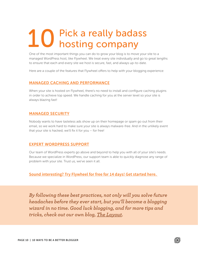### Pick a really badass hosting company 10

One of the most important things you can do to grow your blog is to move your site to a managed WordPress host, like Flywheel. We treat every site individually and go to great lengths to ensure that each and every site we host is secure, fast, and always up-to-date.

Here are a couple of the features that Flywheel offers to help with your blogging experience:

#### [MANAGED CACHING AND PERFORMANCE](https://getflywheel.com/why-flywheel/site-speed/)

When your site is hosted on Flywheel, there's no need to install and configure caching plugins in order to achieve top speed. We handle caching for you at the server level so your site is always blazing fast!

#### [MANAGED SECURITY](https://getflywheel.com/why-flywheel/wordpress-security/)

Nobody wants to have tasteless ads show up on their homepage or spam go out from their email, so we work hard to make sure your site is always malware-free. And in the unlikely event that your site is hacked, we'll fix it for you – for free!

#### [EXPERT WORDPRESS SUPPORT](https://getflywheel.com/why-flywheel/managed-wordpress-hosting/)

Our team of WordPress experts go above and beyond to help you with all of your site's needs. Because we specialize in WordPress, our support team is able to quickly diagnose any range of problem with your site. Trust us, we've seen it all.

**[Sound interesting? Try Flywheel for free for 14 days! Get started here.](https://app.getflywheel.com/signup)** 

*By following these best practices, not only will you solve future headaches before they ever start, but you'll become a blogging wizard in no time. Good luck blogging, and for more tips and tricks, check out our own blog, [The Layout](https://getflywheel.com/layout/).*